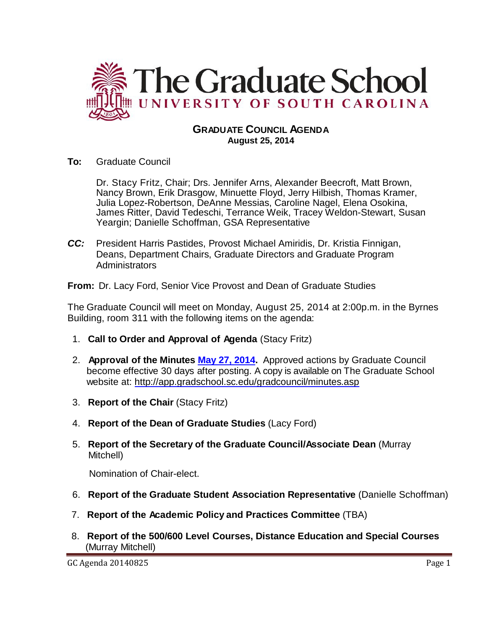

## **GRADUATE COUNCIL AGENDA August 25, 2014**

**To:** Graduate Council

Dr. Stacy Fritz, Chair; Drs. Jennifer Arns, Alexander Beecroft, Matt Brown, Nancy Brown, Erik Drasgow, Minuette Floyd, Jerry Hilbish, Thomas Kramer, Julia Lopez-Robertson, DeAnne Messias, Caroline Nagel, Elena Osokina, James Ritter, David Tedeschi, Terrance Weik, Tracey Weldon-Stewart, Susan Yeargin; Danielle Schoffman, GSA Representative

*CC:* President Harris Pastides, Provost Michael Amiridis, Dr. Kristia Finnigan, Deans, Department Chairs, Graduate Directors and Graduate Program Administrators

**From:** Dr. Lacy Ford, Senior Vice Provost and Dean of Graduate Studies

The Graduate Council will meet on Monday, August 25, 2014 at 2:00p.m. in the Byrnes Building, room 311 with the following items on the agenda:

- 1. **Call to Order and Approval of Agenda** (Stacy Fritz)
- 2. **Approval of the Minutes [May 27, 2014.](http://gradschool.sc.edu/facstaff/gradcouncil/2013/GC%20Minutes%205%2027%2014%20MM.pdf)** Approved actions by Graduate Council become effective 30 days after posting. A copy is available on The Graduate School website at:<http://app.gradschool.sc.edu/gradcouncil/minutes.asp>
- 3. **Report of the Chair** (Stacy Fritz)
- 4. **Report of the Dean of Graduate Studies** (Lacy Ford)
- 5. **Report of the Secretary of the Graduate Council/Associate Dean** (Murray Mitchell)

Nomination of Chair-elect.

- 6. **Report of the Graduate Student Association Representative** (Danielle Schoffman)
- 7. **Report of the Academic Policy and Practices Committee** (TBA)
- 8. **Report of the 500/600 Level Courses, Distance Education and Special Courses** (Murray Mitchell)

GC Agenda 20140825 Page 1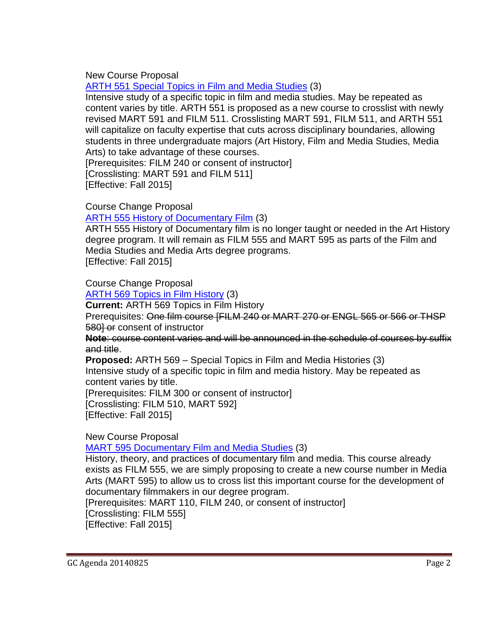## New Course Proposal

[ARTH 551 Special Topics in Film and Media Studies](http://gradschool.sc.edu/facstaff/gradcouncil/2014/ART%20551%20NCP_Redacted.pdf) (3)

Intensive study of a specific topic in film and media studies. May be repeated as content varies by title. ARTH 551 is proposed as a new course to crosslist with newly revised MART 591 and FILM 511. Crosslisting MART 591, FILM 511, and ARTH 551 will capitalize on faculty expertise that cuts across disciplinary boundaries, allowing students in three undergraduate majors (Art History, Film and Media Studies, Media Arts) to take advantage of these courses.

[Prerequisites: FILM 240 or consent of instructor]

[Crosslisting: MART 591 and FILM 511]

[Effective: Fall 2015]

## Course Change Proposal

[ARTH 555 History of Documentary Film](http://gradschool.sc.edu/facstaff/gradcouncil/2014/ARTH%20555%20History%20of%20Documentary%20Film_Redacted.pdf) (3)

ARTH 555 History of Documentary film is no longer taught or needed in the Art History degree program. It will remain as FILM 555 and MART 595 as parts of the Film and Media Studies and Media Arts degree programs. [Effective: Fall 2015]

Course Change Proposal

[ARTH 569 Topics in Film History](http://gradschool.sc.edu/facstaff/gradcouncil/2014/ARTH%20569%20Topics%20in%20Film%20History_Redacted.pdf) (3)

**Current:** ARTH 569 Topics in Film History Prerequisites: One film course [FILM 240 or MART 270 or ENGL 565 or 566 or THSP 5801 or consent of instructor

**Note**: course content varies and will be announced in the schedule of courses by suffix and title.

**Proposed:** ARTH 569 – Special Topics in Film and Media Histories (3) Intensive study of a specific topic in film and media history. May be repeated as content varies by title. [Prerequisites: FILM 300 or consent of instructor] [Crosslisting: FILM 510, MART 592]

[Effective: Fall 2015]

New Course Proposal

[MART 595 Documentary Film and Media Studies](http://gradschool.sc.edu/facstaff/gradcouncil/2014/MART%20595%20Documentary%20Film%20and%20Media%20Studies_Redacted.pdf) (3)

History, theory, and practices of documentary film and media. This course already exists as FILM 555, we are simply proposing to create a new course number in Media Arts (MART 595) to allow us to cross list this important course for the development of documentary filmmakers in our degree program.

[Prerequisites: MART 110, FILM 240, or consent of instructor] [Crosslisting: FILM 555] [Effective: Fall 2015]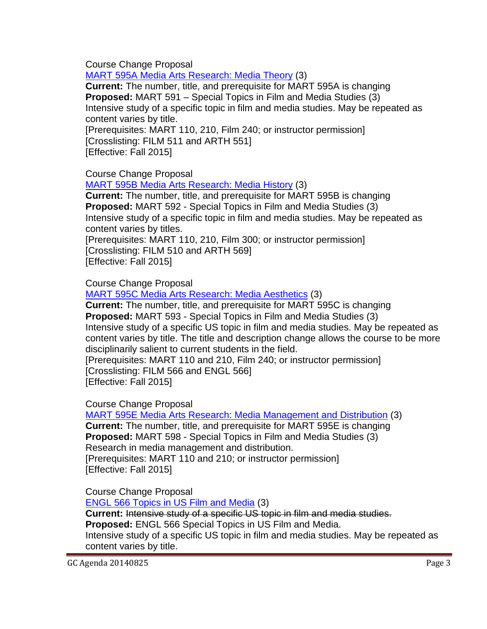Course Change Proposal

[MART 595A Media Arts Research: Media Theory](http://gradschool.sc.edu/facstaff/gradcouncil/2014/MART%20595A%20ccp_Redacted.pdf) (3)

**Current:** The number, title, and prerequisite for MART 595A is changing **Proposed:** MART 591 – Special Topics in Film and Media Studies (3) Intensive study of a specific topic in film and media studies. May be repeated as content varies by title.

[Prerequisites: MART 110, 210, Film 240; or instructor permission] [Crosslisting: FILM 511 and ARTH 551] [Effective: Fall 2015]

Course Change Proposal

[MART 595B Media Arts Research: Media History](http://gradschool.sc.edu/facstaff/gradcouncil/2014/MART%20595B%20Media%20Arts%20Research-history%20ccp_Redacted.pdf) (3)

**Current:** The number, title, and prerequisite for MART 595B is changing **Proposed:** MART 592 - Special Topics in Film and Media Studies (3) Intensive study of a specific topic in film and media studies. May be repeated as content varies by titles.

[Prerequisites: MART 110, 210, Film 300; or instructor permission] [Crosslisting: FILM 510 and ARTH 569] [Effective: Fall 2015]

Course Change Proposal

[MART 595C Media Arts Research: Media Aesthetics](http://gradschool.sc.edu/facstaff/gradcouncil/2014/MART%20595C%20Media%20Arts%20aesthetics%20ccp_Redacted.pdf) (3)

**Current:** The number, title, and prerequisite for MART 595C is changing **Proposed:** MART 593 - Special Topics in Film and Media Studies (3) Intensive study of a specific US topic in film and media studies. May be repeated as content varies by title. The title and description change allows the course to be more disciplinarily salient to current students in the field.

[Prerequisites: MART 110 and 210, Film 240; or instructor permission] [Crosslisting: FILM 566 and ENGL 566] [Effective: Fall 2015]

Course Change Proposal

[MART 595E Media Arts Research: Media Management and Distribution](http://gradschool.sc.edu/facstaff/gradcouncil/2014/MART%20595E%20ccp_Redacted.pdf) (3) **Current:** The number, title, and prerequisite for MART 595E is changing **Proposed:** MART 598 - Special Topics in Film and Media Studies (3) Research in media management and distribution. [Prerequisites: MART 110 and 210; or instructor permission] [Effective: Fall 2015]

Course Change Proposal

[ENGL 566 Topics in US Film and Media](http://gradschool.sc.edu/facstaff/gradcouncil/2014/ENGL%20566%20Topics%20in%20US%20Film%20and%20Media_Redacted.pdf) (3)

**Current:** Intensive study of a specific US topic in film and media studies. **Proposed:** ENGL 566 Special Topics in US Film and Media. Intensive study of a specific US topic in film and media studies. May be repeated as content varies by title.

GC Agenda 20140825 Page 3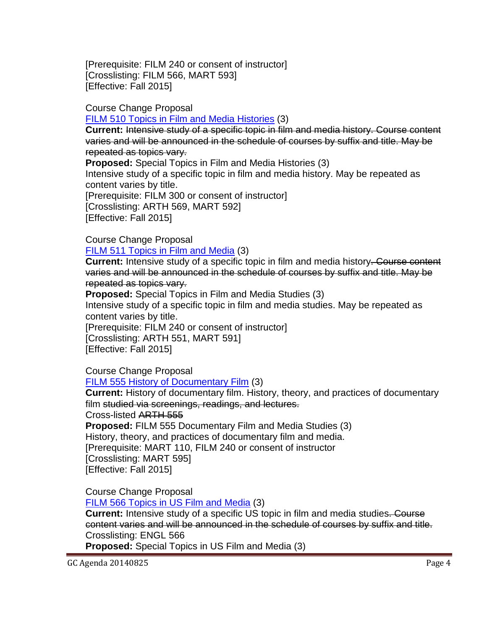[Prerequisite: FILM 240 or consent of instructor] [Crosslisting: FILM 566, MART 593] [Effective: Fall 2015]

Course Change Proposal

[FILM 510 Topics in Film and Media Histories](http://gradschool.sc.edu/facstaff/gradcouncil/2014/FILM%20510%20CCP_Redacted.pdf) (3)

**Current:** Intensive study of a specific topic in film and media history. Course content varies and will be announced in the schedule of courses by suffix and title. May be repeated as topics vary.

**Proposed:** Special Topics in Film and Media Histories (3)

Intensive study of a specific topic in film and media history. May be repeated as content varies by title.

[Prerequisite: FILM 300 or consent of instructor] [Crosslisting: ARTH 569, MART 592] [Effective: Fall 2015]

Course Change Proposal

[FILM 511 Topics in Film and Media](http://gradschool.sc.edu/facstaff/gradcouncil/2014/FILM%20511%20CCP_Redacted.pdf) (3)

**Current:** Intensive study of a specific topic in film and media history. Course content varies and will be announced in the schedule of courses by suffix and title. May be repeated as topics vary.

**Proposed:** Special Topics in Film and Media Studies (3) Intensive study of a specific topic in film and media studies. May be repeated as content varies by title. [Prerequisite: FILM 240 or consent of instructor]

[Crosslisting: ARTH 551, MART 591] [Effective: Fall 2015]

Course Change Proposal

[FILM 555 History of Documentary Film](http://gradschool.sc.edu/facstaff/gradcouncil/2014/FILM%20555%20ccp_Redacted.pdf) (3)

**Current:** History of documentary film. History, theory, and practices of documentary film studied via screenings, readings, and lectures. Cross-listed ARTH 555 **Proposed:** FILM 555 Documentary Film and Media Studies (3) History, theory, and practices of documentary film and media. [Prerequisite: MART 110, FILM 240 or consent of instructor [Crosslisting: MART 595]

[Effective: Fall 2015]

Course Change Proposal

[FILM 566 Topics in US Film and Media](http://gradschool.sc.edu/facstaff/gradcouncil/2014/FILM%20566%20CCP_Redacted.pdf) (3)

**Current:** Intensive study of a specific US topic in film and media studies. Course content varies and will be announced in the schedule of courses by suffix and title. Crosslisting: ENGL 566

**Proposed:** Special Topics in US Film and Media (3)